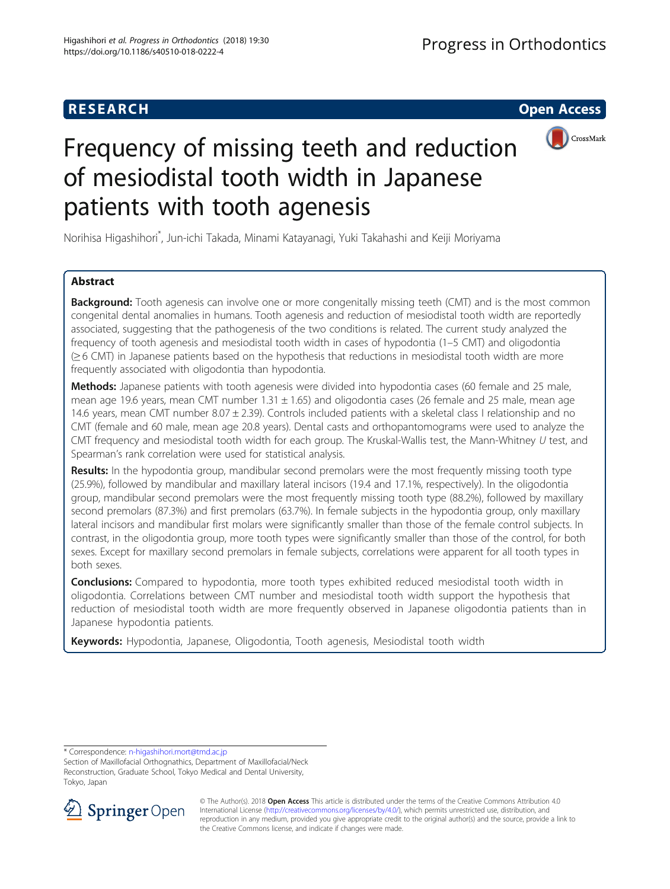# **RESEARCH CHILD CONTROL** CONTROL CONTROL CONTROL CONTROL CONTROL CONTROL CONTROL CONTROL CONTROL CONTROL CONTROL CONTROL CONTROL CONTROL CONTROL CONTROL CONTROL CONTROL CONTROL CONTROL CONTROL CONTROL CONTROL CONTROL CONTR



# Frequency of missing teeth and reduction of mesiodistal tooth width in Japanese patients with tooth agenesis

Norihisa Higashihori\* , Jun-ichi Takada, Minami Katayanagi, Yuki Takahashi and Keiji Moriyama

# Abstract

**Background:** Tooth agenesis can involve one or more congenitally missing teeth (CMT) and is the most common congenital dental anomalies in humans. Tooth agenesis and reduction of mesiodistal tooth width are reportedly associated, suggesting that the pathogenesis of the two conditions is related. The current study analyzed the frequency of tooth agenesis and mesiodistal tooth width in cases of hypodontia (1–5 CMT) and oligodontia (≥ 6 CMT) in Japanese patients based on the hypothesis that reductions in mesiodistal tooth width are more frequently associated with oligodontia than hypodontia.

Methods: Japanese patients with tooth agenesis were divided into hypodontia cases (60 female and 25 male, mean age 19.6 years, mean CMT number  $1.31 \pm 1.65$ ) and oligodontia cases (26 female and 25 male, mean age 14.6 years, mean CMT number 8.07 ± 2.39). Controls included patients with a skeletal class I relationship and no CMT (female and 60 male, mean age 20.8 years). Dental casts and orthopantomograms were used to analyze the CMT frequency and mesiodistal tooth width for each group. The Kruskal-Wallis test, the Mann-Whitney U test, and Spearman's rank correlation were used for statistical analysis.

Results: In the hypodontia group, mandibular second premolars were the most frequently missing tooth type (25.9%), followed by mandibular and maxillary lateral incisors (19.4 and 17.1%, respectively). In the oligodontia group, mandibular second premolars were the most frequently missing tooth type (88.2%), followed by maxillary second premolars (87.3%) and first premolars (63.7%). In female subjects in the hypodontia group, only maxillary lateral incisors and mandibular first molars were significantly smaller than those of the female control subjects. In contrast, in the oligodontia group, more tooth types were significantly smaller than those of the control, for both sexes. Except for maxillary second premolars in female subjects, correlations were apparent for all tooth types in both sexes.

**Conclusions:** Compared to hypodontia, more tooth types exhibited reduced mesiodistal tooth width in oligodontia. Correlations between CMT number and mesiodistal tooth width support the hypothesis that reduction of mesiodistal tooth width are more frequently observed in Japanese oligodontia patients than in Japanese hypodontia patients.

Keywords: Hypodontia, Japanese, Oligodontia, Tooth agenesis, Mesiodistal tooth width

\* Correspondence: [n-higashihori.mort@tmd.ac.jp](mailto:n-higashihori.mort@tmd.ac.jp)

Section of Maxillofacial Orthognathics, Department of Maxillofacial/Neck Reconstruction, Graduate School, Tokyo Medical and Dental University, Tokyo, Japan



© The Author(s). 2018 Open Access This article is distributed under the terms of the Creative Commons Attribution 4.0 International License ([http://creativecommons.org/licenses/by/4.0/\)](http://creativecommons.org/licenses/by/4.0/), which permits unrestricted use, distribution, and reproduction in any medium, provided you give appropriate credit to the original author(s) and the source, provide a link to the Creative Commons license, and indicate if changes were made.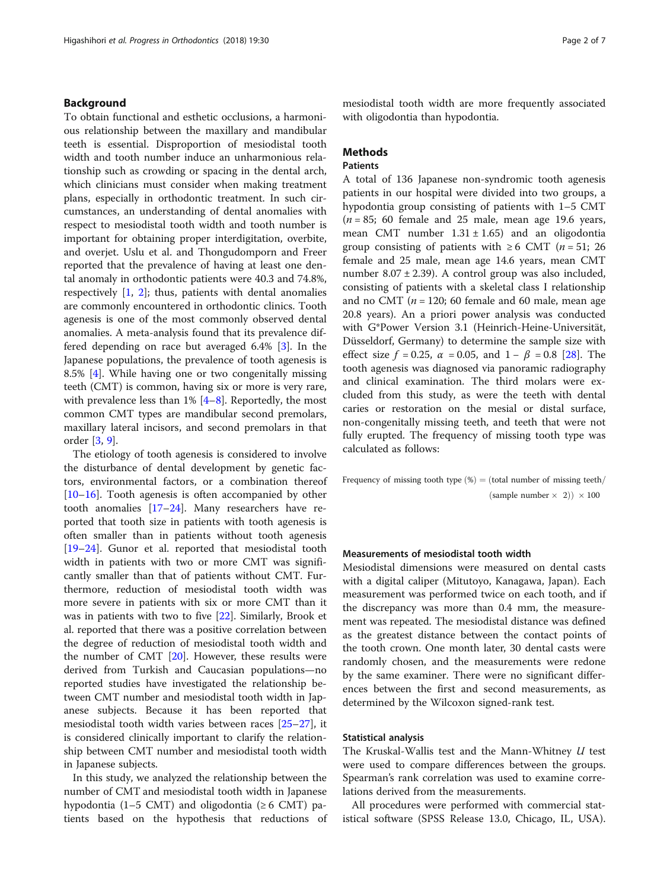# Background

To obtain functional and esthetic occlusions, a harmonious relationship between the maxillary and mandibular teeth is essential. Disproportion of mesiodistal tooth width and tooth number induce an unharmonious relationship such as crowding or spacing in the dental arch, which clinicians must consider when making treatment plans, especially in orthodontic treatment. In such circumstances, an understanding of dental anomalies with respect to mesiodistal tooth width and tooth number is important for obtaining proper interdigitation, overbite, and overjet. Uslu et al. and Thongudomporn and Freer reported that the prevalence of having at least one dental anomaly in orthodontic patients were 40.3 and 74.8%, respectively  $[1, 2]$  $[1, 2]$  $[1, 2]$  $[1, 2]$ ; thus, patients with dental anomalies are commonly encountered in orthodontic clinics. Tooth agenesis is one of the most commonly observed dental anomalies. A meta-analysis found that its prevalence differed depending on race but averaged 6.4% [[3\]](#page-5-0). In the Japanese populations, the prevalence of tooth agenesis is 8.5% [[4](#page-5-0)]. While having one or two congenitally missing teeth (CMT) is common, having six or more is very rare, with prevalence less than  $1\%$  [[4](#page-5-0)–[8\]](#page-5-0). Reportedly, the most common CMT types are mandibular second premolars, maxillary lateral incisors, and second premolars in that order [[3,](#page-5-0) [9\]](#page-5-0).

The etiology of tooth agenesis is considered to involve the disturbance of dental development by genetic factors, environmental factors, or a combination thereof [[10](#page-5-0)–[16](#page-5-0)]. Tooth agenesis is often accompanied by other tooth anomalies [\[17](#page-5-0)–[24\]](#page-6-0). Many researchers have reported that tooth size in patients with tooth agenesis is often smaller than in patients without tooth agenesis [[19](#page-6-0)–[24](#page-6-0)]. Gunor et al. reported that mesiodistal tooth width in patients with two or more CMT was significantly smaller than that of patients without CMT. Furthermore, reduction of mesiodistal tooth width was more severe in patients with six or more CMT than it was in patients with two to five [[22\]](#page-6-0). Similarly, Brook et al. reported that there was a positive correlation between the degree of reduction of mesiodistal tooth width and the number of CMT [[20](#page-6-0)]. However, these results were derived from Turkish and Caucasian populations—no reported studies have investigated the relationship between CMT number and mesiodistal tooth width in Japanese subjects. Because it has been reported that mesiodistal tooth width varies between races [\[25](#page-6-0)–[27\]](#page-6-0), it is considered clinically important to clarify the relationship between CMT number and mesiodistal tooth width in Japanese subjects.

In this study, we analyzed the relationship between the number of CMT and mesiodistal tooth width in Japanese hypodontia (1–5 CMT) and oligodontia ( $\geq 6$  CMT) patients based on the hypothesis that reductions of mesiodistal tooth width are more frequently associated with oligodontia than hypodontia.

# **Methods**

# Patients

A total of 136 Japanese non-syndromic tooth agenesis patients in our hospital were divided into two groups, a hypodontia group consisting of patients with 1–5 CMT  $(n = 85; 60$  female and 25 male, mean age 19.6 years, mean CMT number  $1.31 \pm 1.65$ ) and an oligodontia group consisting of patients with  $\geq 6$  CMT (*n* = 51; 26 female and 25 male, mean age 14.6 years, mean CMT number  $8.07 \pm 2.39$ ). A control group was also included, consisting of patients with a skeletal class I relationship and no CMT ( $n = 120$ ; 60 female and 60 male, mean age 20.8 years). An a priori power analysis was conducted with G\*Power Version 3.1 (Heinrich-Heine-Universität, Düsseldorf, Germany) to determine the sample size with effect size  $f = 0.25$ ,  $\alpha = 0.05$ , and  $1 - \beta = 0.8$  [[28\]](#page-6-0). The tooth agenesis was diagnosed via panoramic radiography and clinical examination. The third molars were excluded from this study, as were the teeth with dental caries or restoration on the mesial or distal surface, non-congenitally missing teeth, and teeth that were not fully erupted. The frequency of missing tooth type was calculated as follows:

Frequency of missing tooth type  $%$   $\phi$   $=$  (total number of missing teeth/  $(sample number \times 2)) \times 100$ 

# Measurements of mesiodistal tooth width

Mesiodistal dimensions were measured on dental casts with a digital caliper (Mitutoyo, Kanagawa, Japan). Each measurement was performed twice on each tooth, and if the discrepancy was more than 0.4 mm, the measurement was repeated. The mesiodistal distance was defined as the greatest distance between the contact points of the tooth crown. One month later, 30 dental casts were randomly chosen, and the measurements were redone by the same examiner. There were no significant differences between the first and second measurements, as determined by the Wilcoxon signed-rank test.

## Statistical analysis

The Kruskal-Wallis test and the Mann-Whitney U test were used to compare differences between the groups. Spearman's rank correlation was used to examine correlations derived from the measurements.

All procedures were performed with commercial statistical software (SPSS Release 13.0, Chicago, IL, USA).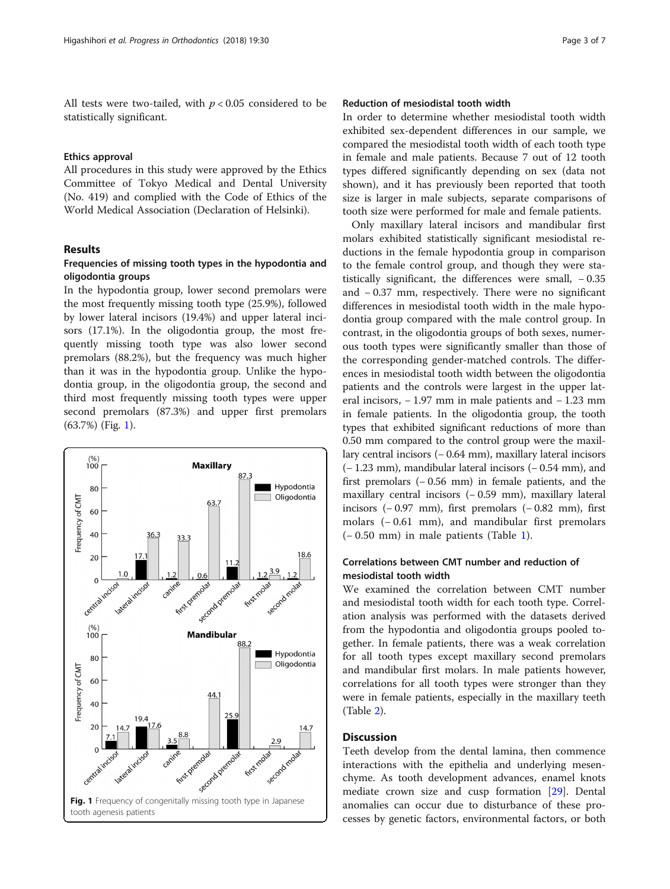All tests were two-tailed, with  $p < 0.05$  considered to be statistically significant.

#### Ethics approval

All procedures in this study were approved by the Ethics Committee of Tokyo Medical and Dental University (No. 419) and complied with the Code of Ethics of the World Medical Association (Declaration of Helsinki).

## Results

# Frequencies of missing tooth types in the hypodontia and oligodontia groups

In the hypodontia group, lower second premolars were the most frequently missing tooth type (25.9%), followed by lower lateral incisors (19.4%) and upper lateral incisors (17.1%). In the oligodontia group, the most frequently missing tooth type was also lower second premolars (88.2%), but the frequency was much higher than it was in the hypodontia group. Unlike the hypodontia group, in the oligodontia group, the second and third most frequently missing tooth types were upper second premolars (87.3%) and upper first premolars (63.7%) (Fig. 1).



# Reduction of mesiodistal tooth width

In order to determine whether mesiodistal tooth width exhibited sex-dependent differences in our sample, we compared the mesiodistal tooth width of each tooth type in female and male patients. Because 7 out of 12 tooth types differed significantly depending on sex (data not shown), and it has previously been reported that tooth size is larger in male subjects, separate comparisons of tooth size were performed for male and female patients.

Only maxillary lateral incisors and mandibular first molars exhibited statistically significant mesiodistal reductions in the female hypodontia group in comparison to the female control group, and though they were statistically significant, the differences were small, − 0.35 and − 0.37 mm, respectively. There were no significant differences in mesiodistal tooth width in the male hypodontia group compared with the male control group. In contrast, in the oligodontia groups of both sexes, numerous tooth types were significantly smaller than those of the corresponding gender-matched controls. The differences in mesiodistal tooth width between the oligodontia patients and the controls were largest in the upper lateral incisors, − 1.97 mm in male patients and − 1.23 mm in female patients. In the oligodontia group, the tooth types that exhibited significant reductions of more than 0.50 mm compared to the control group were the maxillary central incisors (− 0.64 mm), maxillary lateral incisors (− 1.23 mm), mandibular lateral incisors (− 0.54 mm), and first premolars (− 0.56 mm) in female patients, and the maxillary central incisors (− 0.59 mm), maxillary lateral incisors (− 0.97 mm), first premolars (− 0.82 mm), first molars (− 0.61 mm), and mandibular first premolars (− 0.50 mm) in male patients (Table [1](#page-3-0)).

# Correlations between CMT number and reduction of mesiodistal tooth width

We examined the correlation between CMT number and mesiodistal tooth width for each tooth type. Correlation analysis was performed with the datasets derived from the hypodontia and oligodontia groups pooled together. In female patients, there was a weak correlation for all tooth types except maxillary second premolars and mandibular first molars. In male patients however, correlations for all tooth types were stronger than they were in female patients, especially in the maxillary teeth (Table [2\)](#page-4-0).

# **Discussion**

Teeth develop from the dental lamina, then commence interactions with the epithelia and underlying mesenchyme. As tooth development advances, enamel knots mediate crown size and cusp formation [\[29](#page-6-0)]. Dental anomalies can occur due to disturbance of these processes by genetic factors, environmental factors, or both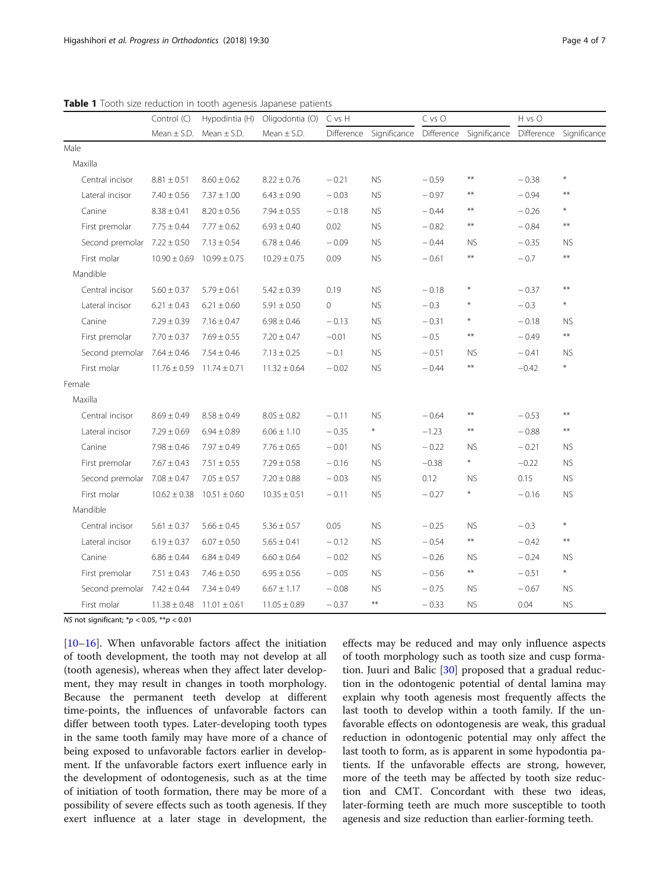|                                 | Control (C)      | Hypodintia (H)                    | Oligodontia (O) C vs H<br>Mean $\pm$ S.D. |              |              | C vs O  |                                                 | H vs O  |                        |
|---------------------------------|------------------|-----------------------------------|-------------------------------------------|--------------|--------------|---------|-------------------------------------------------|---------|------------------------|
|                                 |                  | Mean $\pm$ S.D. Mean $\pm$ S.D.   |                                           | Difference   | Significance |         | Difference Significance Difference Significance |         |                        |
| Male                            |                  |                                   |                                           |              |              |         |                                                 |         |                        |
| Maxilla                         |                  |                                   |                                           |              |              |         |                                                 |         |                        |
| Central incisor                 | $8.81 \pm 0.51$  | $8.60 \pm 0.62$                   | $8.22 \pm 0.76$                           | $-0.21$      | <b>NS</b>    | $-0.59$ | $**$                                            | $-0.38$ | $\ast$                 |
| Lateral incisor                 | $7.40 \pm 0.56$  | $7.37 \pm 1.00$                   | $6.43 \pm 0.90$                           | $-0.03$      | <b>NS</b>    | $-0.97$ | $**$                                            | $-0.94$ | $**$                   |
| Canine                          | $8.38 \pm 0.41$  | $8.20 \pm 0.56$                   | $7.94 \pm 0.55$                           | $-0.18$      | <b>NS</b>    | $-0.44$ | $***$                                           | $-0.26$ | $\ast$                 |
| First premolar                  | $7.75 \pm 0.44$  | $7.77 \pm 0.62$                   | $6.93 \pm 0.40$                           | 0.02         | <b>NS</b>    | $-0.82$ | $\pmb{\ast}\pmb{\ast}$                          | $-0.84$ | $\pmb{\ast}\pmb{\ast}$ |
| Second premolar $7.22 \pm 0.50$ |                  | $7.13 \pm 0.54$                   | $6.78 \pm 0.46$                           | $-0.09$      | <b>NS</b>    | $-0.44$ | <b>NS</b>                                       | $-0.35$ | <b>NS</b>              |
| First molar                     | $10.90 \pm 0.69$ | $10.99 \pm 0.75$                  | $10.29 \pm 0.75$                          | 0.09         | <b>NS</b>    | $-0.61$ | $**$                                            | $-0.7$  | $***$                  |
| Mandible                        |                  |                                   |                                           |              |              |         |                                                 |         |                        |
| Central incisor                 | $5.60 \pm 0.37$  | $5.79 \pm 0.61$                   | $5.42 \pm 0.39$                           | 0.19         | <b>NS</b>    | $-0.18$ | $\ast$                                          | $-0.37$ | $**$                   |
| Lateral incisor                 | $6.21 \pm 0.43$  | $6.21 \pm 0.60$                   | $5.91 \pm 0.50$                           | $\mathbf{O}$ | <b>NS</b>    | $-0.3$  | $\ast$                                          | $-0.3$  | $\ast$                 |
| Canine                          | $7.29 \pm 0.39$  | $7.16 \pm 0.47$                   | $6.98 \pm 0.46$                           | $-0.13$      | <b>NS</b>    | $-0.31$ | $\ast$                                          | $-0.18$ | <b>NS</b>              |
| First premolar                  | $7.70 \pm 0.37$  | $7.69 \pm 0.55$                   | $7.20 \pm 0.47$                           | $-0.01$      | <b>NS</b>    | $-0.5$  | $\ast\ast$                                      | $-0.49$ | $***$                  |
| Second premolar $7.64 \pm 0.46$ |                  | $7.54 \pm 0.46$                   | $7.13 \pm 0.25$                           | $-0.1$       | <b>NS</b>    | $-0.51$ | NS.                                             | $-0.41$ | <b>NS</b>              |
| First molar                     | $11.76 \pm 0.59$ | $11.74 \pm 0.71$                  | $11.32 \pm 0.64$                          | $-0.02$      | <b>NS</b>    | $-0.44$ | $\pmb{\ast}\pmb{\ast}$                          | $-0.42$ | $\ast$                 |
| Female                          |                  |                                   |                                           |              |              |         |                                                 |         |                        |
| Maxilla                         |                  |                                   |                                           |              |              |         |                                                 |         |                        |
| Central incisor                 | $8.69 \pm 0.49$  | $8.58 \pm 0.49$                   | $8.05 \pm 0.82$                           | $-0.11$      | <b>NS</b>    | $-0.64$ | $***$                                           | $-0.53$ | $\star\star$           |
| Lateral incisor                 | $7.29 \pm 0.69$  | $6.94 \pm 0.89$                   | $6.06 \pm 1.10$                           | $-0.35$      | $\ast$       | $-1.23$ | $***$                                           | $-0.88$ | $\ast\ast$             |
| Canine                          | $7.98 \pm 0.46$  | $7.97 \pm 0.49$                   | $7.76 \pm 0.65$                           | $-0.01$      | <b>NS</b>    | $-0.22$ | <b>NS</b>                                       | $-0.21$ | <b>NS</b>              |
| First premolar                  | $7.67 \pm 0.43$  | $7.51 \pm 0.55$                   | $7.29 \pm 0.58$                           | $-0.16$      | <b>NS</b>    | $-0.38$ | $\ast$                                          | $-0.22$ | <b>NS</b>              |
| Second premolar                 | $7.08 \pm 0.47$  | $7.05 \pm 0.57$                   | $7.20 \pm 0.88$                           | $-0.03$      | <b>NS</b>    | 0.12    | <b>NS</b>                                       | 0.15    | ${\sf NS}$             |
| First molar                     | $10.62 \pm 0.38$ | $10.51 \pm 0.60$                  | $10.35 \pm 0.51$                          | $-0.11$      | <b>NS</b>    | $-0.27$ | $\ast$                                          | $-0.16$ | ${\sf NS}$             |
| Mandible                        |                  |                                   |                                           |              |              |         |                                                 |         |                        |
| Central incisor                 | $5.61 \pm 0.37$  | $5.66 \pm 0.45$                   | $5.36 \pm 0.57$                           | 0.05         | <b>NS</b>    | $-0.25$ | <b>NS</b>                                       | $-0.3$  | $\ast$                 |
| Lateral incisor                 | $6.19 \pm 0.37$  | $6.07 \pm 0.50$                   | $5.65 \pm 0.41$                           | $-0.12$      | <b>NS</b>    | $-0.54$ | $\star\star$                                    | $-0.42$ | $\ast\ast$             |
| Canine                          | $6.86 \pm 0.44$  | $6.84 \pm 0.49$                   | $6.60\pm0.64$                             | $-0.02$      | <b>NS</b>    | $-0.26$ | <b>NS</b>                                       | $-0.24$ | <b>NS</b>              |
| First premolar                  | $7.51 \pm 0.43$  | $7.46 \pm 0.50$                   | $6.95 \pm 0.56$                           | $-0.05$      | <b>NS</b>    | $-0.56$ | $\star\star$                                    | $-0.51$ | $\ast$                 |
| Second premolar $7.42 \pm 0.44$ |                  | $7.34 \pm 0.49$                   | $6.67 \pm 1.17$                           | $-0.08$      | <b>NS</b>    | $-0.75$ | <b>NS</b>                                       | $-0.67$ | <b>NS</b>              |
| First molar                     |                  | $11.38 \pm 0.48$ 11.01 $\pm$ 0.61 | $11.05 \pm 0.89$                          | $-0.37$      | $\star\star$ | $-0.33$ | <b>NS</b>                                       | 0.04    | ${\sf NS}$             |

<span id="page-3-0"></span>Table 1 Tooth size reduction in tooth agenesis Japanese patients

NS not significant;  $*p < 0.05$ ,  $**p < 0.01$ 

[[10](#page-5-0)–[16](#page-5-0)]. When unfavorable factors affect the initiation of tooth development, the tooth may not develop at all (tooth agenesis), whereas when they affect later development, they may result in changes in tooth morphology. Because the permanent teeth develop at different time-points, the influences of unfavorable factors can differ between tooth types. Later-developing tooth types in the same tooth family may have more of a chance of being exposed to unfavorable factors earlier in development. If the unfavorable factors exert influence early in the development of odontogenesis, such as at the time of initiation of tooth formation, there may be more of a possibility of severe effects such as tooth agenesis. If they exert influence at a later stage in development, the

effects may be reduced and may only influence aspects of tooth morphology such as tooth size and cusp forma-tion. Juuri and Balic [\[30](#page-6-0)] proposed that a gradual reduction in the odontogenic potential of dental lamina may explain why tooth agenesis most frequently affects the last tooth to develop within a tooth family. If the unfavorable effects on odontogenesis are weak, this gradual reduction in odontogenic potential may only affect the last tooth to form, as is apparent in some hypodontia patients. If the unfavorable effects are strong, however, more of the teeth may be affected by tooth size reduction and CMT. Concordant with these two ideas, later-forming teeth are much more susceptible to tooth agenesis and size reduction than earlier-forming teeth.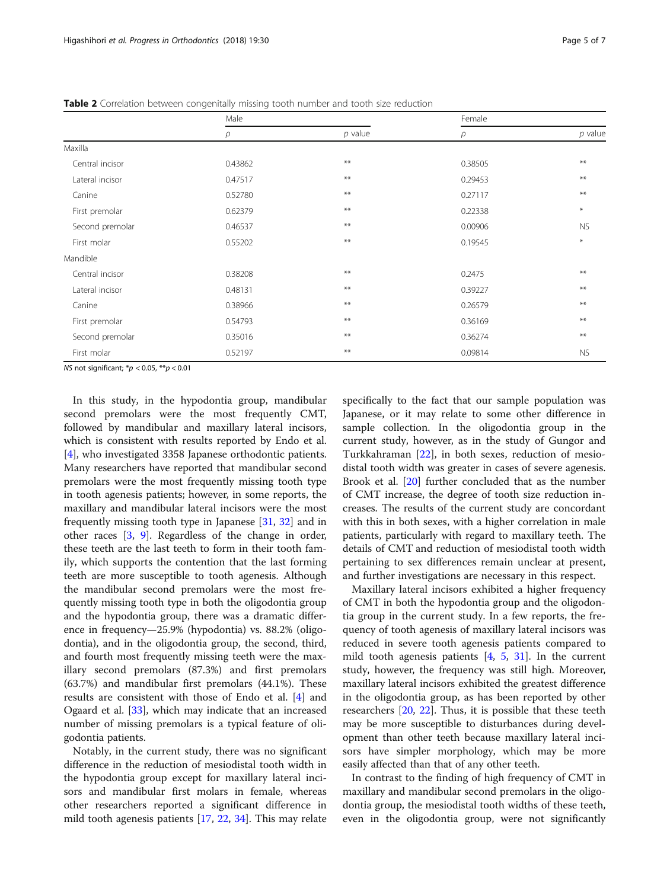|                 | Male    |            | Female  |           |  |
|-----------------|---------|------------|---------|-----------|--|
|                 | $\rho$  | $p$ value  | $\rho$  | $p$ value |  |
| Maxilla         |         |            |         |           |  |
| Central incisor | 0.43862 | $***$      | 0.38505 | $**$      |  |
| Lateral incisor | 0.47517 | $***$      | 0.29453 | $***$     |  |
| Canine          | 0.52780 | $***$      | 0.27117 | $***$     |  |
| First premolar  | 0.62379 | $***$      | 0.22338 | $\ast$    |  |
| Second premolar | 0.46537 | $***$      | 0.00906 | <b>NS</b> |  |
| First molar     | 0.55202 | $***$      | 0.19545 | $\ast$    |  |
| Mandible        |         |            |         |           |  |
| Central incisor | 0.38208 | $***$      | 0.2475  | $***$     |  |
| Lateral incisor | 0.48131 | $***$      | 0.39227 | $***$     |  |
| Canine          | 0.38966 | $***$      | 0.26579 | $***$     |  |
| First premolar  | 0.54793 | $\ast\ast$ | 0.36169 | $***$     |  |
| Second premolar | 0.35016 | $***$      | 0.36274 | $***$     |  |
| First molar     | 0.52197 | $***$      | 0.09814 | <b>NS</b> |  |

<span id="page-4-0"></span>Table 2 Correlation between congenitally missing tooth number and tooth size reduction

NS not significant;  $np < 0.05$ ,  $**p < 0.01$ 

In this study, in the hypodontia group, mandibular second premolars were the most frequently CMT, followed by mandibular and maxillary lateral incisors, which is consistent with results reported by Endo et al. [[4\]](#page-5-0), who investigated 3358 Japanese orthodontic patients. Many researchers have reported that mandibular second premolars were the most frequently missing tooth type in tooth agenesis patients; however, in some reports, the maxillary and mandibular lateral incisors were the most frequently missing tooth type in Japanese [\[31,](#page-6-0) [32](#page-6-0)] and in other races [[3,](#page-5-0) [9\]](#page-5-0). Regardless of the change in order, these teeth are the last teeth to form in their tooth family, which supports the contention that the last forming teeth are more susceptible to tooth agenesis. Although the mandibular second premolars were the most frequently missing tooth type in both the oligodontia group and the hypodontia group, there was a dramatic difference in frequency—25.9% (hypodontia) vs. 88.2% (oligodontia), and in the oligodontia group, the second, third, and fourth most frequently missing teeth were the maxillary second premolars (87.3%) and first premolars (63.7%) and mandibular first premolars (44.1%). These results are consistent with those of Endo et al. [\[4](#page-5-0)] and Ogaard et al. [[33\]](#page-6-0), which may indicate that an increased number of missing premolars is a typical feature of oligodontia patients.

Notably, in the current study, there was no significant difference in the reduction of mesiodistal tooth width in the hypodontia group except for maxillary lateral incisors and mandibular first molars in female, whereas other researchers reported a significant difference in mild tooth agenesis patients [\[17](#page-5-0), [22](#page-6-0), [34](#page-6-0)]. This may relate

specifically to the fact that our sample population was Japanese, or it may relate to some other difference in sample collection. In the oligodontia group in the current study, however, as in the study of Gungor and Turkkahraman [\[22](#page-6-0)], in both sexes, reduction of mesiodistal tooth width was greater in cases of severe agenesis. Brook et al. [\[20](#page-6-0)] further concluded that as the number of CMT increase, the degree of tooth size reduction increases. The results of the current study are concordant with this in both sexes, with a higher correlation in male patients, particularly with regard to maxillary teeth. The details of CMT and reduction of mesiodistal tooth width pertaining to sex differences remain unclear at present, and further investigations are necessary in this respect.

Maxillary lateral incisors exhibited a higher frequency of CMT in both the hypodontia group and the oligodontia group in the current study. In a few reports, the frequency of tooth agenesis of maxillary lateral incisors was reduced in severe tooth agenesis patients compared to mild tooth agenesis patients  $[4, 5, 31]$  $[4, 5, 31]$  $[4, 5, 31]$  $[4, 5, 31]$  $[4, 5, 31]$ . In the current study, however, the frequency was still high. Moreover, maxillary lateral incisors exhibited the greatest difference in the oligodontia group, as has been reported by other researchers [\[20](#page-6-0), [22\]](#page-6-0). Thus, it is possible that these teeth may be more susceptible to disturbances during development than other teeth because maxillary lateral incisors have simpler morphology, which may be more easily affected than that of any other teeth.

In contrast to the finding of high frequency of CMT in maxillary and mandibular second premolars in the oligodontia group, the mesiodistal tooth widths of these teeth, even in the oligodontia group, were not significantly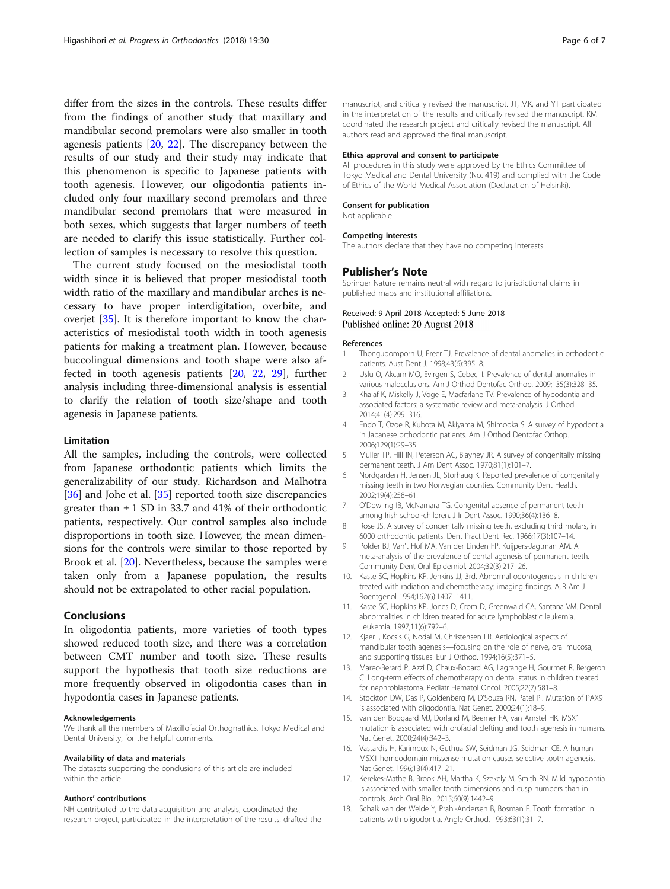<span id="page-5-0"></span>differ from the sizes in the controls. These results differ from the findings of another study that maxillary and mandibular second premolars were also smaller in tooth agenesis patients [\[20](#page-6-0), [22\]](#page-6-0). The discrepancy between the results of our study and their study may indicate that this phenomenon is specific to Japanese patients with tooth agenesis. However, our oligodontia patients included only four maxillary second premolars and three mandibular second premolars that were measured in both sexes, which suggests that larger numbers of teeth are needed to clarify this issue statistically. Further collection of samples is necessary to resolve this question.

The current study focused on the mesiodistal tooth width since it is believed that proper mesiodistal tooth width ratio of the maxillary and mandibular arches is necessary to have proper interdigitation, overbite, and overjet [\[35](#page-6-0)]. It is therefore important to know the characteristics of mesiodistal tooth width in tooth agenesis patients for making a treatment plan. However, because buccolingual dimensions and tooth shape were also affected in tooth agenesis patients [[20,](#page-6-0) [22](#page-6-0), [29](#page-6-0)], further analysis including three-dimensional analysis is essential to clarify the relation of tooth size/shape and tooth agenesis in Japanese patients.

#### Limitation

All the samples, including the controls, were collected from Japanese orthodontic patients which limits the generalizability of our study. Richardson and Malhotra [[36\]](#page-6-0) and Johe et al. [\[35\]](#page-6-0) reported tooth size discrepancies greater than  $\pm$  1 SD in 33.7 and 41% of their orthodontic patients, respectively. Our control samples also include disproportions in tooth size. However, the mean dimensions for the controls were similar to those reported by Brook et al. [[20\]](#page-6-0). Nevertheless, because the samples were taken only from a Japanese population, the results should not be extrapolated to other racial population.

#### Conclusions

In oligodontia patients, more varieties of tooth types showed reduced tooth size, and there was a correlation between CMT number and tooth size. These results support the hypothesis that tooth size reductions are more frequently observed in oligodontia cases than in hypodontia cases in Japanese patients.

## Acknowledgements

We thank all the members of Maxillofacial Orthognathics, Tokyo Medical and Dental University, for the helpful comments.

#### Availability of data and materials

The datasets supporting the conclusions of this article are included within the article.

#### Authors' contributions

NH contributed to the data acquisition and analysis, coordinated the research project, participated in the interpretation of the results, drafted the manuscript, and critically revised the manuscript. JT, MK, and YT participated in the interpretation of the results and critically revised the manuscript. KM coordinated the research project and critically revised the manuscript. All authors read and approved the final manuscript.

## Ethics approval and consent to participate

All procedures in this study were approved by the Ethics Committee of Tokyo Medical and Dental University (No. 419) and complied with the Code of Ethics of the World Medical Association (Declaration of Helsinki).

#### Consent for publication

Not applicable

#### Competing interests

The authors declare that they have no competing interests.

#### Publisher's Note

Springer Nature remains neutral with regard to jurisdictional claims in published maps and institutional affiliations.

## Received: 9 April 2018 Accepted: 5 June 2018 Published online: 20 August 2018

#### References

- 1. Thongudomporn U, Freer TJ. Prevalence of dental anomalies in orthodontic patients. Aust Dent J. 1998;43(6):395–8.
- 2. Uslu O, Akcam MO, Evirgen S, Cebeci I. Prevalence of dental anomalies in various malocclusions. Am J Orthod Dentofac Orthop. 2009;135(3):328–35.
- 3. Khalaf K, Miskelly J, Voge E, Macfarlane TV. Prevalence of hypodontia and associated factors: a systematic review and meta-analysis. J Orthod. 2014;41(4):299–316.
- 4. Endo T, Ozoe R, Kubota M, Akiyama M, Shimooka S. A survey of hypodontia in Japanese orthodontic patients. Am J Orthod Dentofac Orthop. 2006;129(1):29–35.
- 5. Muller TP, Hill IN, Peterson AC, Blayney JR. A survey of congenitally missing permanent teeth. J Am Dent Assoc. 1970;81(1):101–7.
- 6. Nordgarden H, Jensen JL, Storhaug K. Reported prevalence of congenitally missing teeth in two Norwegian counties. Community Dent Health. 2002;19(4):258–61.
- 7. O'Dowling IB, McNamara TG. Congenital absence of permanent teeth among Irish school-children. J Ir Dent Assoc. 1990;36(4):136–8.
- 8. Rose JS. A survey of congenitally missing teeth, excluding third molars, in 6000 orthodontic patients. Dent Pract Dent Rec. 1966;17(3):107–14.
- 9. Polder BJ, Van't Hof MA, Van der Linden FP, Kuijpers-Jagtman AM. A meta-analysis of the prevalence of dental agenesis of permanent teeth. Community Dent Oral Epidemiol. 2004;32(3):217–26.
- 10. Kaste SC, Hopkins KP, Jenkins JJ, 3rd. Abnormal odontogenesis in children treated with radiation and chemotherapy: imaging findings. AJR Am J Roentgenol 1994;162(6):1407–1411.
- 11. Kaste SC, Hopkins KP, Jones D, Crom D, Greenwald CA, Santana VM. Dental abnormalities in children treated for acute lymphoblastic leukemia. Leukemia. 1997;11(6):792–6.
- 12. Kjaer I, Kocsis G, Nodal M, Christensen LR. Aetiological aspects of mandibular tooth agenesis—focusing on the role of nerve, oral mucosa, and supporting tissues. Eur J Orthod. 1994;16(5):371–5.
- 13. Marec-Berard P, Azzi D, Chaux-Bodard AG, Lagrange H, Gourmet R, Bergeron C. Long-term effects of chemotherapy on dental status in children treated for nephroblastoma. Pediatr Hematol Oncol. 2005;22(7):581–8.
- 14. Stockton DW, Das P, Goldenberg M, D'Souza RN, Patel PI. Mutation of PAX9 is associated with oligodontia. Nat Genet. 2000;24(1):18–9.
- 15. van den Boogaard MJ, Dorland M, Beemer FA, van Amstel HK. MSX1 mutation is associated with orofacial clefting and tooth agenesis in humans. Nat Genet. 2000;24(4):342–3.
- 16. Vastardis H, Karimbux N, Guthua SW, Seidman JG, Seidman CE. A human MSX1 homeodomain missense mutation causes selective tooth agenesis. Nat Genet. 1996;13(4):417–21.
- 17. Kerekes-Mathe B, Brook AH, Martha K, Szekely M, Smith RN. Mild hypodontia is associated with smaller tooth dimensions and cusp numbers than in controls. Arch Oral Biol. 2015;60(9):1442–9.
- 18. Schalk van der Weide Y, Prahl-Andersen B, Bosman F. Tooth formation in patients with oligodontia. Angle Orthod. 1993;63(1):31–7.